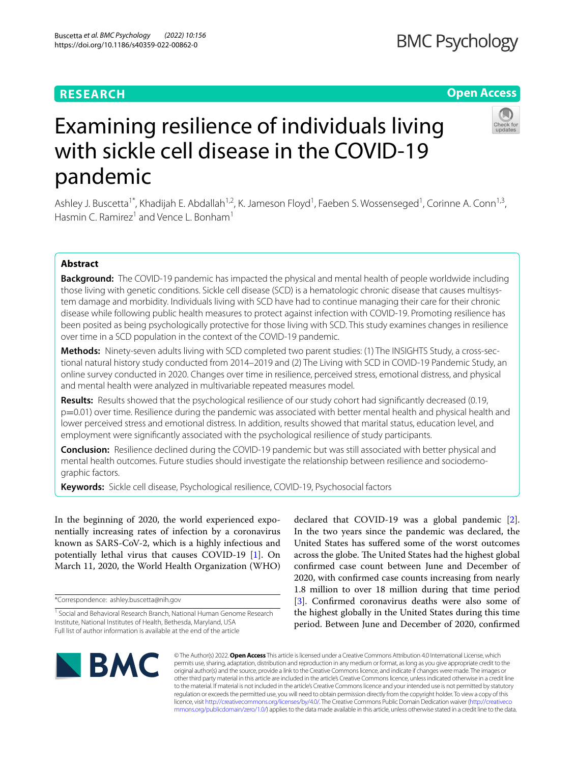# **RESEARCH**

# **Open Access**



# Examining resilience of individuals living with sickle cell disease in the COVID-19 pandemic

Ashley J. Buscetta<sup>1\*</sup>, Khadijah E. Abdallah<sup>1,2</sup>, K. Jameson Floyd<sup>1</sup>, Faeben S. Wossenseged<sup>1</sup>, Corinne A. Conn<sup>1,3</sup>, Hasmin C. Ramirez<sup>1</sup> and Vence L. Bonham<sup>1</sup>

## **Abstract**

**Background:** The COVID-19 pandemic has impacted the physical and mental health of people worldwide including those living with genetic conditions. Sickle cell disease (SCD) is a hematologic chronic disease that causes multisystem damage and morbidity. Individuals living with SCD have had to continue managing their care for their chronic disease while following public health measures to protect against infection with COVID-19. Promoting resilience has been posited as being psychologically protective for those living with SCD. This study examines changes in resilience over time in a SCD population in the context of the COVID-19 pandemic.

**Methods:** Ninety-seven adults living with SCD completed two parent studies: (1) The INSIGHTS Study, a cross-sectional natural history study conducted from 2014–2019 and (2) The Living with SCD in COVID-19 Pandemic Study, an online survey conducted in 2020. Changes over time in resilience, perceived stress, emotional distress, and physical and mental health were analyzed in multivariable repeated measures model.

**Results:** Results showed that the psychological resilience of our study cohort had signifcantly decreased (0.19, p=0.01) over time. Resilience during the pandemic was associated with better mental health and physical health and lower perceived stress and emotional distress. In addition, results showed that marital status, education level, and employment were signifcantly associated with the psychological resilience of study participants.

**Conclusion:** Resilience declined during the COVID-19 pandemic but was still associated with better physical and mental health outcomes. Future studies should investigate the relationship between resilience and sociodemographic factors.

**Keywords:** Sickle cell disease, Psychological resilience, COVID-19, Psychosocial factors

In the beginning of 2020, the world experienced exponentially increasing rates of infection by a coronavirus known as SARS-CoV-2, which is a highly infectious and potentially lethal virus that causes COVID-19 [\[1](#page-8-0)]. On March 11, 2020, the World Health Organization (WHO)

\*Correspondence: ashley.buscetta@nih.gov

declared that COVID-19 was a global pandemic [\[2](#page-8-1)]. In the two years since the pandemic was declared, the United States has sufered some of the worst outcomes across the globe. The United States had the highest global confrmed case count between June and December of 2020, with confrmed case counts increasing from nearly 1.8 million to over 18 million during that time period [[3\]](#page-9-0). Confirmed coronavirus deaths were also some of the highest globally in the United States during this time period. Between June and December of 2020, confrmed



© The Author(s) 2022. **Open Access** This article is licensed under a Creative Commons Attribution 4.0 International License, which permits use, sharing, adaptation, distribution and reproduction in any medium or format, as long as you give appropriate credit to the original author(s) and the source, provide a link to the Creative Commons licence, and indicate if changes were made. The images or other third party material in this article are included in the article's Creative Commons licence, unless indicated otherwise in a credit line to the material. If material is not included in the article's Creative Commons licence and your intended use is not permitted by statutory regulation or exceeds the permitted use, you will need to obtain permission directly from the copyright holder. To view a copy of this licence, visit [http://creativecommons.org/licenses/by/4.0/.](http://creativecommons.org/licenses/by/4.0/) The Creative Commons Public Domain Dedication waiver ([http://creativeco](http://creativecommons.org/publicdomain/zero/1.0/) [mmons.org/publicdomain/zero/1.0/](http://creativecommons.org/publicdomain/zero/1.0/)) applies to the data made available in this article, unless otherwise stated in a credit line to the data.

<sup>&</sup>lt;sup>1</sup> Social and Behavioral Research Branch, National Human Genome Research Institute, National Institutes of Health, Bethesda, Maryland, USA Full list of author information is available at the end of the article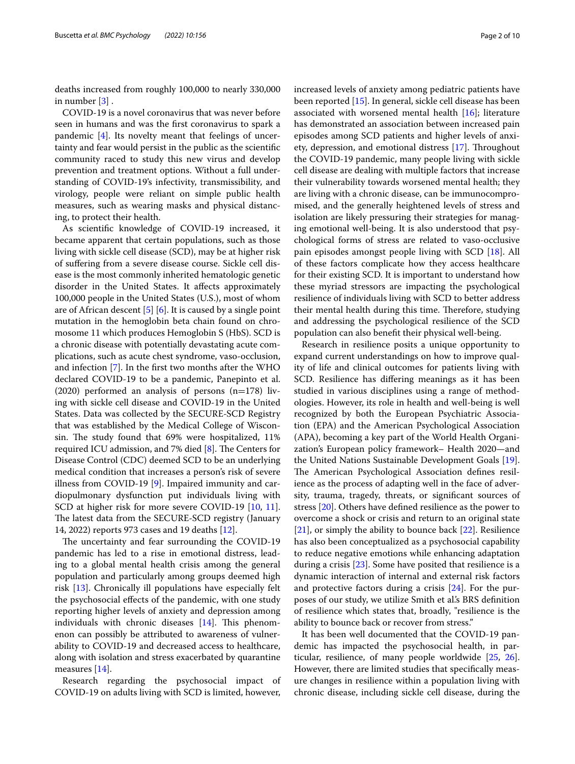deaths increased from roughly 100,000 to nearly 330,000 in number [[3\]](#page-9-0) .

COVID-19 is a novel coronavirus that was never before seen in humans and was the frst coronavirus to spark a pandemic [\[4](#page-9-1)]. Its novelty meant that feelings of uncertainty and fear would persist in the public as the scientifc community raced to study this new virus and develop prevention and treatment options. Without a full understanding of COVID-19's infectivity, transmissibility, and virology, people were reliant on simple public health measures, such as wearing masks and physical distancing, to protect their health.

As scientifc knowledge of COVID-19 increased, it became apparent that certain populations, such as those living with sickle cell disease (SCD), may be at higher risk of sufering from a severe disease course. Sickle cell disease is the most commonly inherited hematologic genetic disorder in the United States. It afects approximately 100,000 people in the United States (U.S.), most of whom are of African descent [\[5](#page-9-2)] [[6\]](#page-9-3). It is caused by a single point mutation in the hemoglobin beta chain found on chromosome 11 which produces Hemoglobin S (HbS). SCD is a chronic disease with potentially devastating acute complications, such as acute chest syndrome, vaso-occlusion, and infection [[7\]](#page-9-4). In the frst two months after the WHO declared COVID-19 to be a pandemic, Panepinto et al. (2020) performed an analysis of persons  $(n=178)$  living with sickle cell disease and COVID-19 in the United States. Data was collected by the SECURE-SCD Registry that was established by the Medical College of Wisconsin. The study found that 69% were hospitalized, 11% required ICU admission, and 7% died  $[8]$  $[8]$ . The Centers for Disease Control (CDC) deemed SCD to be an underlying medical condition that increases a person's risk of severe illness from COVID-19 [[9](#page-9-6)]. Impaired immunity and cardiopulmonary dysfunction put individuals living with SCD at higher risk for more severe COVID-19 [[10,](#page-9-7) [11](#page-9-8)]. The latest data from the SECURE-SCD registry (January 14, 2022) reports 973 cases and 19 deaths [[12\]](#page-9-9).

The uncertainty and fear surrounding the COVID-19 pandemic has led to a rise in emotional distress, leading to a global mental health crisis among the general population and particularly among groups deemed high risk [[13](#page-9-10)]. Chronically ill populations have especially felt the psychosocial effects of the pandemic, with one study reporting higher levels of anxiety and depression among individuals with chronic diseases  $[14]$  $[14]$ . This phenomenon can possibly be attributed to awareness of vulnerability to COVID-19 and decreased access to healthcare, along with isolation and stress exacerbated by quarantine measures [[14\]](#page-9-11).

Research regarding the psychosocial impact of COVID-19 on adults living with SCD is limited, however,

increased levels of anxiety among pediatric patients have been reported [[15\]](#page-9-12). In general, sickle cell disease has been associated with worsened mental health  $[16]$  $[16]$ ; literature has demonstrated an association between increased pain episodes among SCD patients and higher levels of anxi-ety, depression, and emotional distress [\[17](#page-9-14)]. Throughout the COVID-19 pandemic, many people living with sickle cell disease are dealing with multiple factors that increase their vulnerability towards worsened mental health; they are living with a chronic disease, can be immunocompromised, and the generally heightened levels of stress and isolation are likely pressuring their strategies for managing emotional well-being. It is also understood that psychological forms of stress are related to vaso-occlusive pain episodes amongst people living with SCD [[18\]](#page-9-15). All of these factors complicate how they access healthcare for their existing SCD. It is important to understand how these myriad stressors are impacting the psychological resilience of individuals living with SCD to better address their mental health during this time. Therefore, studying and addressing the psychological resilience of the SCD population can also beneft their physical well-being.

Research in resilience posits a unique opportunity to expand current understandings on how to improve quality of life and clinical outcomes for patients living with SCD. Resilience has difering meanings as it has been studied in various disciplines using a range of methodologies. However, its role in health and well-being is well recognized by both the European Psychiatric Association (EPA) and the American Psychological Association (APA), becoming a key part of the World Health Organization's European policy framework– Health 2020—and the United Nations Sustainable Development Goals [\[19](#page-9-16)]. The American Psychological Association defines resilience as the process of adapting well in the face of adversity, trauma, tragedy, threats, or signifcant sources of stress [\[20\]](#page-9-17). Others have defned resilience as the power to overcome a shock or crisis and return to an original state [[21\]](#page-9-18), or simply the ability to bounce back [[22](#page-9-19)]. Resilience has also been conceptualized as a psychosocial capability to reduce negative emotions while enhancing adaptation during a crisis [\[23](#page-9-20)]. Some have posited that resilience is a dynamic interaction of internal and external risk factors and protective factors during a crisis [[24](#page-9-21)]. For the purposes of our study, we utilize Smith et al.'s BRS defnition of resilience which states that, broadly, "resilience is the ability to bounce back or recover from stress."

It has been well documented that the COVID-19 pandemic has impacted the psychosocial health, in particular, resilience, of many people worldwide [\[25](#page-9-22), [26](#page-9-23)]. However, there are limited studies that specifcally measure changes in resilience within a population living with chronic disease, including sickle cell disease, during the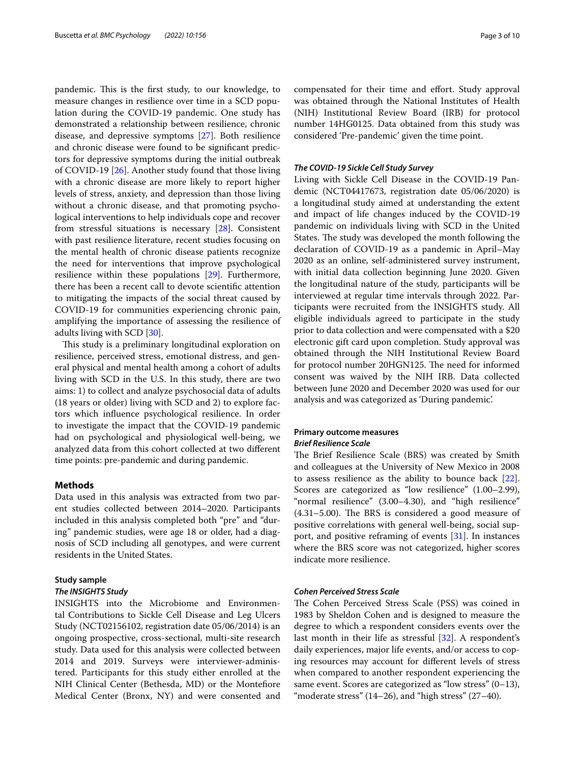pandemic. This is the first study, to our knowledge, to measure changes in resilience over time in a SCD population during the COVID-19 pandemic. One study has demonstrated a relationship between resilience, chronic disease, and depressive symptoms [\[27](#page-9-24)]. Both resilience and chronic disease were found to be signifcant predictors for depressive symptoms during the initial outbreak of COVID-19 [\[26](#page-9-23)]. Another study found that those living with a chronic disease are more likely to report higher levels of stress, anxiety, and depression than those living without a chronic disease, and that promoting psychological interventions to help individuals cope and recover from stressful situations is necessary [\[28\]](#page-9-25). Consistent with past resilience literature, recent studies focusing on the mental health of chronic disease patients recognize the need for interventions that improve psychological resilience within these populations [\[29](#page-9-26)]. Furthermore, there has been a recent call to devote scientifc attention to mitigating the impacts of the social threat caused by COVID-19 for communities experiencing chronic pain, amplifying the importance of assessing the resilience of adults living with SCD [[30\]](#page-9-27).

This study is a preliminary longitudinal exploration on resilience, perceived stress, emotional distress, and general physical and mental health among a cohort of adults living with SCD in the U.S. In this study, there are two aims: 1) to collect and analyze psychosocial data of adults (18 years or older) living with SCD and 2) to explore factors which infuence psychological resilience. In order to investigate the impact that the COVID-19 pandemic had on psychological and physiological well-being, we analyzed data from this cohort collected at two diferent time points: pre-pandemic and during pandemic.

## **Methods**

Data used in this analysis was extracted from two parent studies collected between 2014–2020. Participants included in this analysis completed both "pre" and "during" pandemic studies, were age 18 or older, had a diagnosis of SCD including all genotypes, and were current residents in the United States.

#### **Study sample**

#### *The INSIGHTS Study*

INSIGHTS into the Microbiome and Environmental Contributions to Sickle Cell Disease and Leg Ulcers Study (NCT02156102, registration date 05/06/2014) is an ongoing prospective, cross-sectional, multi-site research study. Data used for this analysis were collected between 2014 and 2019. Surveys were interviewer-administered. Participants for this study either enrolled at the NIH Clinical Center (Bethesda, MD) or the Montefore Medical Center (Bronx, NY) and were consented and compensated for their time and efort. Study approval was obtained through the National Institutes of Health (NIH) Institutional Review Board (IRB) for protocol number 14HG0125. Data obtained from this study was considered 'Pre-pandemic' given the time point.

## *The COVID‑19 Sickle Cell Study Survey*

Living with Sickle Cell Disease in the COVID-19 Pandemic (NCT04417673, registration date 05/06/2020) is a longitudinal study aimed at understanding the extent and impact of life changes induced by the COVID-19 pandemic on individuals living with SCD in the United States. The study was developed the month following the declaration of COVID-19 as a pandemic in April–May 2020 as an online, self-administered survey instrument, with initial data collection beginning June 2020. Given the longitudinal nature of the study, participants will be interviewed at regular time intervals through 2022. Participants were recruited from the INSIGHTS study. All eligible individuals agreed to participate in the study prior to data collection and were compensated with a \$20 electronic gift card upon completion. Study approval was obtained through the NIH Institutional Review Board for protocol number 20HGN125. The need for informed consent was waived by the NIH IRB. Data collected between June 2020 and December 2020 was used for our analysis and was categorized as 'During pandemic'.

## **Primary outcome measures** *Brief Resilience Scale*

The Brief Resilience Scale (BRS) was created by Smith and colleagues at the University of New Mexico in 2008 to assess resilience as the ability to bounce back [\[22](#page-9-19)]. Scores are categorized as "low resilience" (1.00–2.99), "normal resilience" (3.00–4.30), and "high resilience"  $(4.31-5.00)$ . The BRS is considered a good measure of positive correlations with general well-being, social support, and positive reframing of events [\[31\]](#page-9-28). In instances where the BRS score was not categorized, higher scores indicate more resilience.

## *Cohen Perceived Stress Scale*

The Cohen Perceived Stress Scale (PSS) was coined in 1983 by Sheldon Cohen and is designed to measure the degree to which a respondent considers events over the last month in their life as stressful [\[32](#page-9-29)]. A respondent's daily experiences, major life events, and/or access to coping resources may account for diferent levels of stress when compared to another respondent experiencing the same event. Scores are categorized as "low stress" (0–13), "moderate stress" (14–26), and "high stress" (27–40).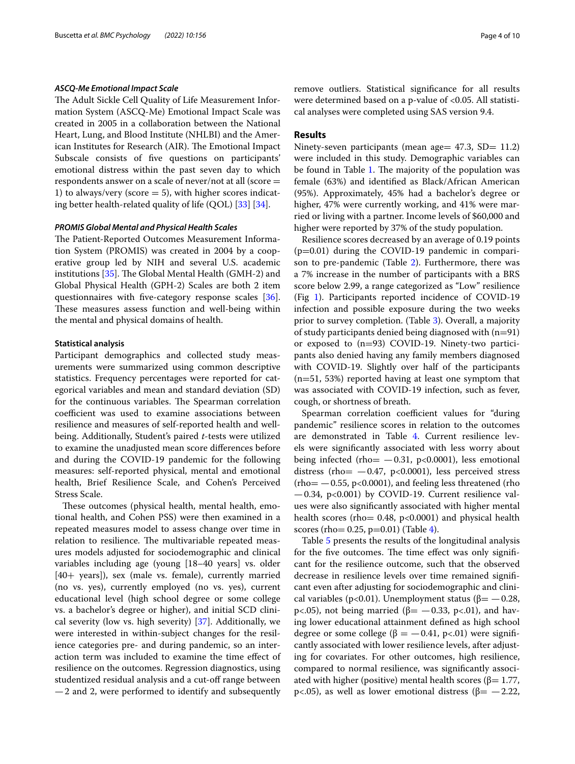#### *ASCQ‑Me Emotional Impact Scale*

The Adult Sickle Cell Quality of Life Measurement Information System (ASCQ-Me) Emotional Impact Scale was created in 2005 in a collaboration between the National Heart, Lung, and Blood Institute (NHLBI) and the American Institutes for Research (AIR). The Emotional Impact Subscale consists of fve questions on participants' emotional distress within the past seven day to which respondents answer on a scale of never/not at all (score = 1) to always/very (score  $=$  5), with higher scores indicating better health-related quality of life (QOL) [[33](#page-9-30)] [\[34\]](#page-9-31).

#### *PROMIS Global Mental and Physical Health Scales*

The Patient-Reported Outcomes Measurement Information System (PROMIS) was created in 2004 by a cooperative group led by NIH and several U.S. academic institutions  $[35]$  $[35]$  $[35]$ . The Global Mental Health (GMH-2) and Global Physical Health (GPH-2) Scales are both 2 item questionnaires with fve-category response scales [\[36](#page-9-33)]. These measures assess function and well-being within the mental and physical domains of health.

### **Statistical analysis**

Participant demographics and collected study measurements were summarized using common descriptive statistics. Frequency percentages were reported for categorical variables and mean and standard deviation (SD) for the continuous variables. The Spearman correlation coefficient was used to examine associations between resilience and measures of self-reported health and wellbeing. Additionally, Student's paired *t*-tests were utilized to examine the unadjusted mean score diferences before and during the COVID-19 pandemic for the following measures: self-reported physical, mental and emotional health, Brief Resilience Scale, and Cohen's Perceived Stress Scale.

These outcomes (physical health, mental health, emotional health, and Cohen PSS) were then examined in a repeated measures model to assess change over time in relation to resilience. The multivariable repeated measures models adjusted for sociodemographic and clinical variables including age (young [18–40 years] vs. older [40+ years]), sex (male vs. female), currently married (no vs. yes), currently employed (no vs. yes), current educational level (high school degree or some college vs. a bachelor's degree or higher), and initial SCD clinical severity (low vs. high severity) [[37\]](#page-9-34). Additionally, we were interested in within-subject changes for the resilience categories pre- and during pandemic, so an interaction term was included to examine the time efect of resilience on the outcomes. Regression diagnostics, using studentized residual analysis and a cut-off range between —2 and 2, were performed to identify and subsequently remove outliers. Statistical signifcance for all results were determined based on a p-value of <0.05. All statistical analyses were completed using SAS version 9.4.

## **Results**

Ninety-seven participants (mean age  $47.3$ , SD  $= 11.2$ ) were included in this study. Demographic variables can be found in Table [1](#page-4-0). The majority of the population was female (63%) and identifed as Black/African American (95%). Approximately, 45% had a bachelor's degree or higher, 47% were currently working, and 41% were married or living with a partner. Income levels of \$60,000 and higher were reported by 37% of the study population.

Resilience scores decreased by an average of 0.19 points  $(p=0.01)$  during the COVID-19 pandemic in comparison to pre-pandemic (Table [2\)](#page-5-0). Furthermore, there was a 7% increase in the number of participants with a BRS score below 2.99, a range categorized as "Low" resilience (Fig [1](#page-5-1)). Participants reported incidence of COVID-19 infection and possible exposure during the two weeks prior to survey completion. (Table [3](#page-6-0)). Overall, a majority of study participants denied being diagnosed with  $(n=91)$ or exposed to (n=93) COVID-19. Ninety-two participants also denied having any family members diagnosed with COVID-19. Slightly over half of the participants (n=51, 53%) reported having at least one symptom that was associated with COVID-19 infection, such as fever, cough, or shortness of breath.

Spearman correlation coefficient values for "during pandemic" resilience scores in relation to the outcomes are demonstrated in Table [4](#page-7-0). Current resilience levels were signifcantly associated with less worry about being infected (rho $=$   $-0.31$ , p $<0.0001$ ), less emotional distress (rho $= -0.47$ , p<0.0001), less perceived stress  $(rho = -0.55, p<0.0001)$ , and feeling less threatened (rho —0.34, p<0.001) by COVID-19. Current resilience values were also signifcantly associated with higher mental health scores (rho=  $0.48$ ,  $p<0.0001$ ) and physical health scores (rho=  $0.25$ , p= $0.01$ ) (Table [4\)](#page-7-0).

Table [5](#page-7-1) presents the results of the longitudinal analysis for the five outcomes. The time effect was only significant for the resilience outcome, such that the observed decrease in resilience levels over time remained signifcant even after adjusting for sociodemographic and clinical variables (p<0.01). Unemployment status ( $\beta$ = -0.28, p<.05), not being married ( $β = -0.33$ , p<.01), and having lower educational attainment defned as high school degree or some college ( $\beta = -0.41$ , p<.01) were significantly associated with lower resilience levels, after adjusting for covariates. For other outcomes, high resilience, compared to normal resilience, was signifcantly associated with higher (positive) mental health scores ( $\beta$ = 1.77, p<.05), as well as lower emotional distress (β=  $-2.22$ ,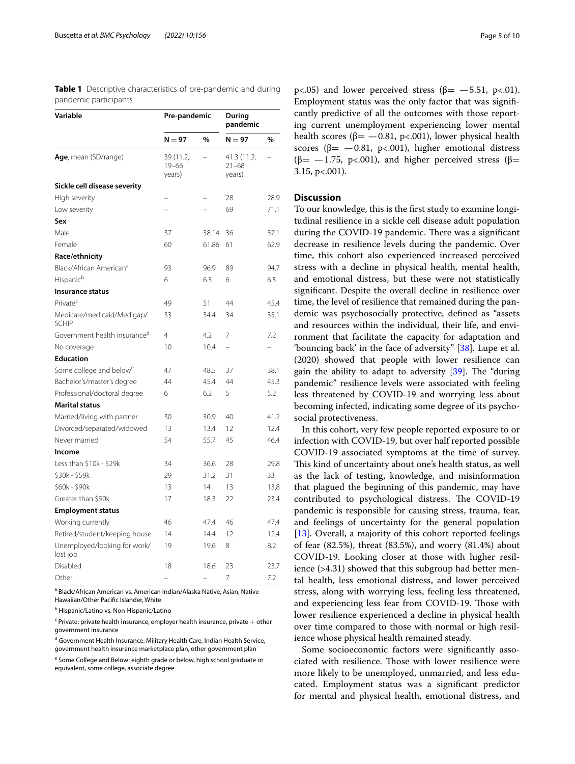| Variable                                   | Pre-pandemic                     |       | During<br>pandemic                 |      |
|--------------------------------------------|----------------------------------|-------|------------------------------------|------|
|                                            | $N = 97$                         | %     | $N = 97$                           | %    |
| Age, mean (SD/range)                       | 39 (11.2,<br>$19 - 66$<br>years) |       | 41.3 (11.2,<br>$21 - 68$<br>years) |      |
| Sickle cell disease severity               |                                  |       |                                    |      |
| High severity                              |                                  |       | 28                                 | 28.9 |
| Low severity                               |                                  |       | 69                                 | 71.1 |
| Sex                                        |                                  |       |                                    |      |
| Male                                       | 37                               | 38.14 | 36                                 | 37.1 |
| Female                                     | 60                               | 61.86 | 61                                 | 62.9 |
| Race/ethnicity                             |                                  |       |                                    |      |
| Black/African American <sup>a</sup>        | 93                               | 96.9  | 89                                 | 94.7 |
| Hispanic <sup>b</sup>                      | 6                                | 6.3   | 6                                  | 6.5  |
| Insurance status                           |                                  |       |                                    |      |
| Private <sup>c</sup>                       | 49                               | 51    | 44                                 | 45.4 |
| Medicare/medicaid/Medigap/<br><b>SCHIP</b> | 33                               | 34.4  | 34                                 | 35.1 |
| Government health insurance <sup>d</sup>   | 4                                | 4.2   | 7                                  | 7.2  |
| No coverage                                | 10                               | 10.4  |                                    |      |
| <b>Education</b>                           |                                  |       |                                    |      |
| Some college and below <sup>e</sup>        | 47                               | 48.5  | 37                                 | 38.1 |
| Bachelor's/master's degree                 | 44                               | 45.4  | 44                                 | 45.3 |
| Professional/doctoral degree               | 6                                | 6.2   | 5                                  | 5.2  |
| <b>Marital status</b>                      |                                  |       |                                    |      |
| Married/living with partner                | 30                               | 30.9  | 40                                 | 41.2 |
| Divorced/separated/widowed                 | 13                               | 13.4  | 12                                 | 12.4 |
| Never married                              | 54                               | 55.7  | 45                                 | 46.4 |
| Income                                     |                                  |       |                                    |      |
| Less than \$10k - \$29k                    | 34                               | 36.6  | 28                                 | 29.8 |
| \$30k - \$59k                              | 29                               | 31.2  | 31                                 | 33   |
| \$60k - \$90k                              | 13                               | 14    | 13                                 | 13.8 |
| Greater than \$90k                         | 17                               | 18.3  | 22                                 | 23.4 |
| <b>Employment status</b>                   |                                  |       |                                    |      |
| Working currently                          | 46                               | 47.4  | 46                                 | 47.4 |
| Retired/student/keeping house              | 14                               | 14.4  | 12                                 | 12.4 |
| Unemployed/looking for work/<br>lost job   | 19                               | 19.6  | 8                                  | 8.2  |
| Disabled                                   | 18                               | 18.6  | 23                                 | 23.7 |
| Other                                      |                                  |       | 7                                  | 7.2  |

<span id="page-4-0"></span>**Table 1** Descriptive characteristics of pre-pandemic and during pandemic participants

<sup>a</sup> Black/African American vs. American Indian/Alaska Native, Asian, Native

Hawaiian/Other Pacific Islander, White

<sup>b</sup> Hispanic/Latino vs. Non-Hispanic/Latino

 $\epsilon$  Private: private health insurance, employer health insurance, private  $+$  other government insurance

<sup>d</sup> Government Health Insurance: Military Health Care, Indian Health Service, government health insurance marketplace plan, other government plan

<sup>e</sup> Some College and Below: eighth grade or below, high school graduate or equivalent, some college, associate degree

p<.05) and lower perceived stress (β=  $-5.51$ , p<.01). Employment status was the only factor that was signifcantly predictive of all the outcomes with those reporting current unemployment experiencing lower mental health scores ( $\beta$ = -0.81, p<.001), lower physical health scores ( $\beta$ = -0.81, p<.001), higher emotional distress  $(β = -1.75, p < .001)$ , and higher perceived stress (β= 3.15, p<.001).

## **Discussion**

To our knowledge, this is the frst study to examine longitudinal resilience in a sickle cell disease adult population during the COVID-19 pandemic. There was a significant decrease in resilience levels during the pandemic. Over time, this cohort also experienced increased perceived stress with a decline in physical health, mental health, and emotional distress, but these were not statistically signifcant. Despite the overall decline in resilience over time, the level of resilience that remained during the pandemic was psychosocially protective, defned as "assets and resources within the individual, their life, and environment that facilitate the capacity for adaptation and 'bouncing back' in the face of adversity" [[38\]](#page-9-35). Lupe et al. (2020) showed that people with lower resilience can gain the ability to adapt to adversity  $[39]$  $[39]$ . The "during" pandemic" resilience levels were associated with feeling less threatened by COVID-19 and worrying less about becoming infected, indicating some degree of its psychosocial protectiveness.

In this cohort, very few people reported exposure to or infection with COVID-19, but over half reported possible COVID-19 associated symptoms at the time of survey. This kind of uncertainty about one's health status, as well as the lack of testing, knowledge, and misinformation that plagued the beginning of this pandemic, may have contributed to psychological distress. The COVID-19 pandemic is responsible for causing stress, trauma, fear, and feelings of uncertainty for the general population [[13\]](#page-9-10). Overall, a majority of this cohort reported feelings of fear (82.5%), threat (83.5%), and worry (81.4%) about COVID-19. Looking closer at those with higher resilience (>4.31) showed that this subgroup had better mental health, less emotional distress, and lower perceived stress, along with worrying less, feeling less threatened, and experiencing less fear from COVID-19. Those with lower resilience experienced a decline in physical health over time compared to those with normal or high resilience whose physical health remained steady.

Some socioeconomic factors were signifcantly associated with resilience. Those with lower resilience were more likely to be unemployed, unmarried, and less educated. Employment status was a signifcant predictor for mental and physical health, emotional distress, and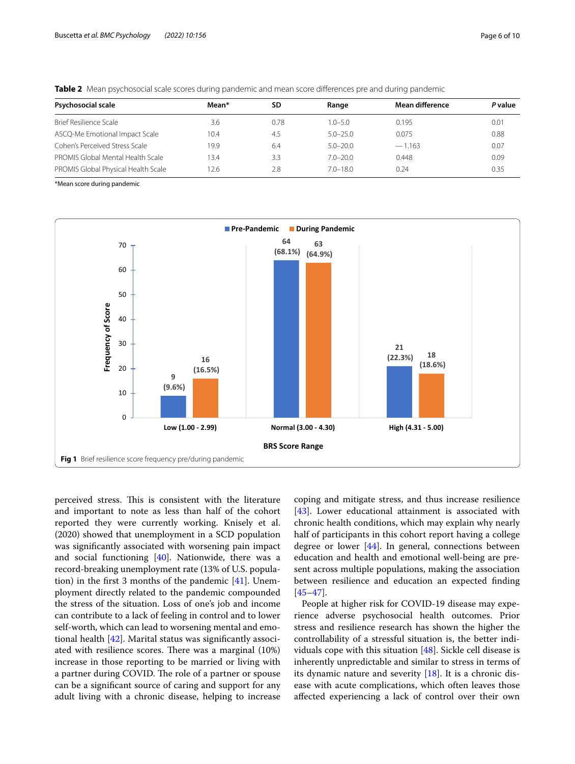| <b>Psychosocial scale</b>           | Mean* | SD   | Range        | Mean difference | P value |
|-------------------------------------|-------|------|--------------|-----------------|---------|
| Brief Resilience Scale              | 3.6   | 0.78 | $1.0 - 5.0$  | 0.195           | 0.01    |
| ASCQ-Me Emotional Impact Scale      | 10.4  | 4.5  | $5.0 - 25.0$ | 0.075           | 0.88    |
| Cohen's Perceived Stress Scale      | 19.9  | 6.4  | $5.0 - 20.0$ | $-1.163$        | 0.07    |
| PROMIS Global Mental Health Scale   | 13.4  | 3.3  | $7.0 - 20.0$ | 0.448           | 0.09    |
| PROMIS Global Physical Health Scale | 12.6  | 2.8  | $7.0 - 18.0$ | 0.24            | 0.35    |

<span id="page-5-0"></span>**Table 2** Mean psychosocial scale scores during pandemic and mean score differences pre and during pandemic

\*Mean score during pandemic



<span id="page-5-1"></span>perceived stress. This is consistent with the literature and important to note as less than half of the cohort reported they were currently working. Knisely et al. (2020) showed that unemployment in a SCD population was signifcantly associated with worsening pain impact and social functioning [\[40](#page-9-37)]. Nationwide, there was a record-breaking unemployment rate (13% of U.S. population) in the frst 3 months of the pandemic [\[41](#page-9-38)]. Unemployment directly related to the pandemic compounded the stress of the situation. Loss of one's job and income can contribute to a lack of feeling in control and to lower self-worth, which can lead to worsening mental and emotional health [\[42](#page-9-39)]. Marital status was signifcantly associated with resilience scores. There was a marginal (10%) increase in those reporting to be married or living with a partner during COVID. The role of a partner or spouse can be a signifcant source of caring and support for any adult living with a chronic disease, helping to increase coping and mitigate stress, and thus increase resilience [[43\]](#page-9-40). Lower educational attainment is associated with chronic health conditions, which may explain why nearly half of participants in this cohort report having a college degree or lower [\[44](#page-9-41)]. In general, connections between education and health and emotional well-being are present across multiple populations, making the association between resilience and education an expected fnding [[45–](#page-9-42)[47\]](#page-9-43).

People at higher risk for COVID-19 disease may experience adverse psychosocial health outcomes. Prior stress and resilience research has shown the higher the controllability of a stressful situation is, the better individuals cope with this situation [[48\]](#page-9-44). Sickle cell disease is inherently unpredictable and similar to stress in terms of its dynamic nature and severity [[18\]](#page-9-15). It is a chronic disease with acute complications, which often leaves those afected experiencing a lack of control over their own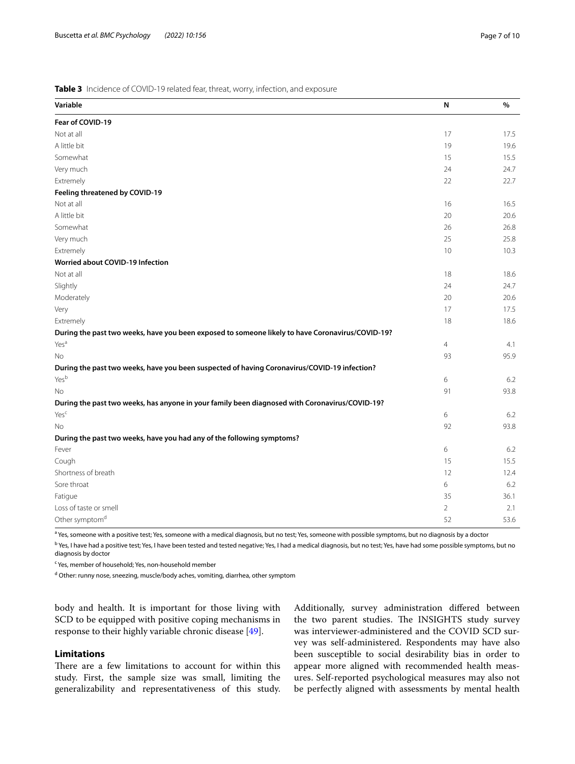### <span id="page-6-0"></span>**Table 3** Incidence of COVID-19 related fear, threat, worry, infection, and exposure

| Variable                                                                                         | N              | %    |
|--------------------------------------------------------------------------------------------------|----------------|------|
| Fear of COVID-19                                                                                 |                |      |
| Not at all                                                                                       | 17             | 17.5 |
| A little bit                                                                                     | 19             | 19.6 |
| Somewhat                                                                                         | 15             | 15.5 |
| Very much                                                                                        | 24             | 24.7 |
| Extremely                                                                                        | 22             | 22.7 |
| Feeling threatened by COVID-19                                                                   |                |      |
| Not at all                                                                                       | 16             | 16.5 |
| A little bit                                                                                     | 20             | 20.6 |
| Somewhat                                                                                         | 26             | 26.8 |
| Very much                                                                                        | 25             | 25.8 |
| Extremely                                                                                        | 10             | 10.3 |
| Worried about COVID-19 Infection                                                                 |                |      |
| Not at all                                                                                       | 18             | 18.6 |
| Slightly                                                                                         | 24             | 24.7 |
| Moderately                                                                                       | 20             | 20.6 |
| Very                                                                                             | 17             | 17.5 |
| Extremely                                                                                        | 18             | 18.6 |
| During the past two weeks, have you been exposed to someone likely to have Coronavirus/COVID-19? |                |      |
| Yes <sup>a</sup>                                                                                 | $\overline{4}$ | 4.1  |
| No.                                                                                              | 93             | 95.9 |
| During the past two weeks, have you been suspected of having Coronavirus/COVID-19 infection?     |                |      |
| Yesb                                                                                             | 6              | 6.2  |
| <b>No</b>                                                                                        | 91             | 93.8 |
| During the past two weeks, has anyone in your family been diagnosed with Coronavirus/COVID-19?   |                |      |
| Yesc                                                                                             | 6              | 6.2  |
| <b>No</b>                                                                                        | 92             | 93.8 |
| During the past two weeks, have you had any of the following symptoms?                           |                |      |
| Fever                                                                                            | 6              | 6.2  |
| Cough                                                                                            | 15             | 15.5 |
| Shortness of breath                                                                              | 12             | 12.4 |
| Sore throat                                                                                      | 6              | 6.2  |
| Fatigue                                                                                          | 35             | 36.1 |
| Loss of taste or smell                                                                           | $\overline{2}$ | 2.1  |
| Other symptom <sup>d</sup>                                                                       | 52             | 53.6 |

<sup>a</sup> Yes, someone with a positive test; Yes, someone with a medical diagnosis, but no test; Yes, someone with possible symptoms, but no diagnosis by a doctor

<sup>b</sup> Yes, I have had a positive test; Yes, I have been tested and tested negative; Yes, I had a medical diagnosis, but no test; Yes, have had some possible symptoms, but no diagnosis by doctor

<sup>c</sup> Yes, member of household; Yes, non-household member

<sup>d</sup> Other: runny nose, sneezing, muscle/body aches, vomiting, diarrhea, other symptom

body and health. It is important for those living with SCD to be equipped with positive coping mechanisms in response to their highly variable chronic disease [[49\]](#page-9-45).

## **Limitations**

There are a few limitations to account for within this study. First, the sample size was small, limiting the generalizability and representativeness of this study. Additionally, survey administration difered between the two parent studies. The INSIGHTS study survey was interviewer-administered and the COVID SCD survey was self-administered. Respondents may have also been susceptible to social desirability bias in order to appear more aligned with recommended health measures. Self-reported psychological measures may also not be perfectly aligned with assessments by mental health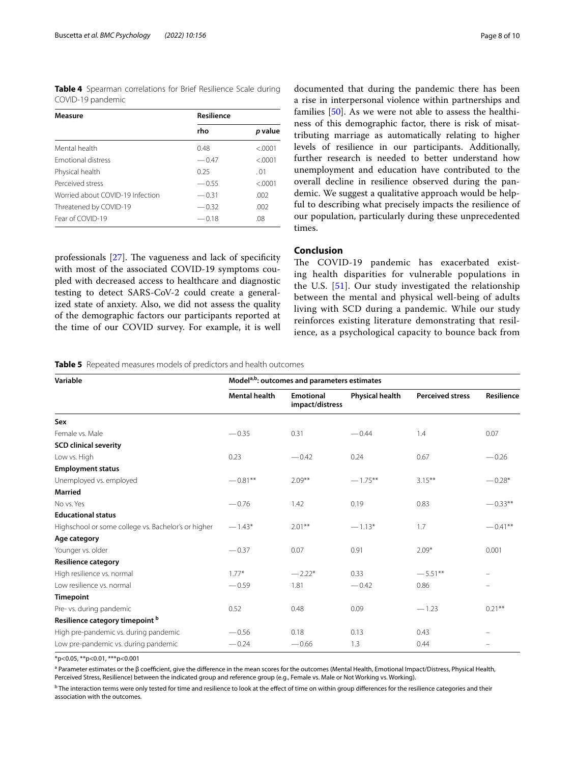<span id="page-7-0"></span>**Table 4** Spearman correlations for Brief Resilience Scale during COVID-19 pandemic

| Measure                          | Resilience |         |
|----------------------------------|------------|---------|
|                                  | rho        | p value |
| Mental health                    | 0.48       | < 0001  |
| <b>Emotional distress</b>        | $-0.47$    | < 0.001 |
| Physical health                  | 0.25       | .01     |
| Perceived stress                 | $-0.55$    | < 0001  |
| Worried about COVID-19 Infection | $-0.31$    | .002    |
| Threatened by COVID-19           | $-0.32$    | .002    |
| Fear of COVID-19                 | $-0.18$    | .08     |

professionals  $[27]$  $[27]$  $[27]$ . The vagueness and lack of specificity with most of the associated COVID-19 symptoms coupled with decreased access to healthcare and diagnostic testing to detect SARS-CoV-2 could create a generalized state of anxiety. Also, we did not assess the quality of the demographic factors our participants reported at the time of our COVID survey. For example, it is well documented that during the pandemic there has been a rise in interpersonal violence within partnerships and families [\[50\]](#page-9-46). As we were not able to assess the healthiness of this demographic factor, there is risk of misattributing marriage as automatically relating to higher levels of resilience in our participants. Additionally, further research is needed to better understand how unemployment and education have contributed to the overall decline in resilience observed during the pandemic. We suggest a qualitative approach would be helpful to describing what precisely impacts the resilience of our population, particularly during these unprecedented times.

## **Conclusion**

The COVID-19 pandemic has exacerbated existing health disparities for vulnerable populations in the U.S. [[51](#page-9-47)]. Our study investigated the relationship between the mental and physical well-being of adults living with SCD during a pandemic. While our study reinforces existing literature demonstrating that resilience, as a psychological capacity to bounce back from

<span id="page-7-1"></span>**Table 5** Repeated measures models of predictors and health outcomes

| Variable                                            | Model <sup>a,b</sup> : outcomes and parameters estimates |                                     |                        |                         |            |  |
|-----------------------------------------------------|----------------------------------------------------------|-------------------------------------|------------------------|-------------------------|------------|--|
|                                                     | <b>Mental health</b>                                     | <b>Emotional</b><br>impact/distress | <b>Physical health</b> | <b>Perceived stress</b> | Resilience |  |
| Sex                                                 |                                                          |                                     |                        |                         |            |  |
| Female vs. Male                                     | $-0.35$                                                  | 0.31                                | $-0.44$                | 1.4                     | 0.07       |  |
| <b>SCD clinical severity</b>                        |                                                          |                                     |                        |                         |            |  |
| Low vs. High                                        | 0.23                                                     | $-0.42$                             | 0.24                   | 0.67                    | $-0.26$    |  |
| <b>Employment status</b>                            |                                                          |                                     |                        |                         |            |  |
| Unemployed vs. employed                             | $-0.81**$                                                | $2.09***$                           | $-1.75***$             | $3.15***$               | $-0.28*$   |  |
| <b>Married</b>                                      |                                                          |                                     |                        |                         |            |  |
| No vs. Yes                                          | $-0.76$                                                  | 1.42                                | 0.19                   | 0.83                    | $-0.33**$  |  |
| <b>Educational status</b>                           |                                                          |                                     |                        |                         |            |  |
| Highschool or some college vs. Bachelor's or higher | $-1.43*$                                                 | $2.01***$                           | $-1.13*$               | 1.7                     | $-0.41**$  |  |
| Age category                                        |                                                          |                                     |                        |                         |            |  |
| Younger vs. older                                   | $-0.37$                                                  | 0.07                                | 0.91                   | $2.09*$                 | 0.001      |  |
| <b>Resilience category</b>                          |                                                          |                                     |                        |                         |            |  |
| High resilience vs. normal                          | $1.77*$                                                  | $-2.22*$                            | 0.33                   | $-5.51**$               |            |  |
| Low resilience vs. normal                           | $-0.59$                                                  | 1.81                                | $-0.42$                | 0.86                    |            |  |
| <b>Timepoint</b>                                    |                                                          |                                     |                        |                         |            |  |
| Pre- vs. during pandemic                            | 0.52                                                     | 0.48                                | 0.09                   | $-1.23$                 | $0.21***$  |  |
| Resilience category timepoint b                     |                                                          |                                     |                        |                         |            |  |
| High pre-pandemic vs. during pandemic               | $-0.56$                                                  | 0.18                                | 0.13                   | 0.43                    |            |  |
| Low pre-pandemic vs. during pandemic                | $-0.24$                                                  | $-0.66$                             | 1.3                    | 0.44                    |            |  |

\*p<0.05, \*\*p<0.01, \*\*\*p<0.001

<sup>a</sup> Parameter estimates or the β coefficient, give the difference in the mean scores for the outcomes (Mental Health, Emotional Impact/Distress, Physical Health, Perceived Stress, Resilience) between the indicated group and reference group (e.g., Female vs. Male or Not Working vs. Working).

 $^{\rm b}$  The interaction terms were only tested for time and resilience to look at the effect of time on within group differences for the resilience categories and their association with the outcomes.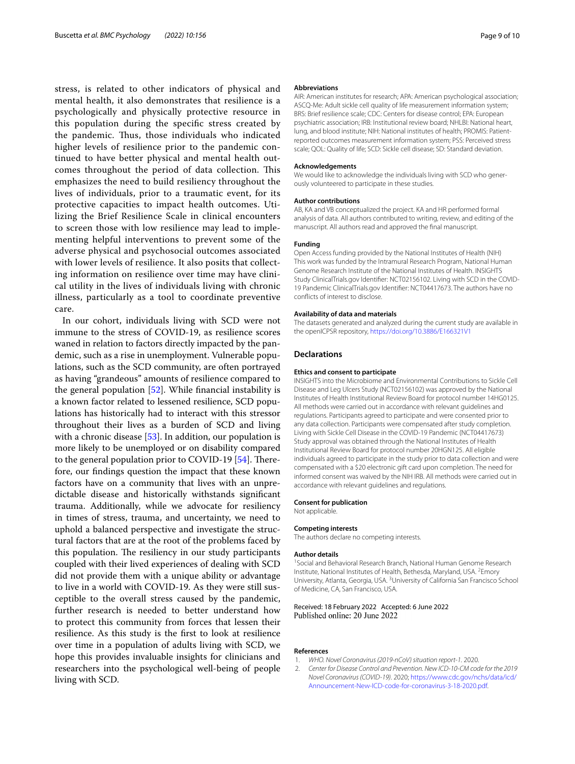stress, is related to other indicators of physical and mental health, it also demonstrates that resilience is a psychologically and physically protective resource in this population during the specifc stress created by the pandemic. Thus, those individuals who indicated higher levels of resilience prior to the pandemic continued to have better physical and mental health outcomes throughout the period of data collection. This emphasizes the need to build resiliency throughout the lives of individuals, prior to a traumatic event, for its protective capacities to impact health outcomes. Utilizing the Brief Resilience Scale in clinical encounters to screen those with low resilience may lead to implementing helpful interventions to prevent some of the adverse physical and psychosocial outcomes associated with lower levels of resilience. It also posits that collecting information on resilience over time may have clinical utility in the lives of individuals living with chronic illness, particularly as a tool to coordinate preventive care.

In our cohort, individuals living with SCD were not immune to the stress of COVID-19, as resilience scores waned in relation to factors directly impacted by the pandemic, such as a rise in unemployment. Vulnerable populations, such as the SCD community, are often portrayed as having "grandeous" amounts of resilience compared to the general population [\[52](#page-9-48)]. While fnancial instability is a known factor related to lessened resilience, SCD populations has historically had to interact with this stressor throughout their lives as a burden of SCD and living with a chronic disease [[53\]](#page-9-49). In addition, our population is more likely to be unemployed or on disability compared to the general population prior to COVID-19  $[54]$  $[54]$ . Therefore, our fndings question the impact that these known factors have on a community that lives with an unpredictable disease and historically withstands signifcant trauma. Additionally, while we advocate for resiliency in times of stress, trauma, and uncertainty, we need to uphold a balanced perspective and investigate the structural factors that are at the root of the problems faced by this population. The resiliency in our study participants coupled with their lived experiences of dealing with SCD did not provide them with a unique ability or advantage to live in a world with COVID-19. As they were still susceptible to the overall stress caused by the pandemic, further research is needed to better understand how to protect this community from forces that lessen their resilience. As this study is the frst to look at resilience over time in a population of adults living with SCD, we hope this provides invaluable insights for clinicians and researchers into the psychological well-being of people living with SCD.

#### **Abbreviations**

AIR: American institutes for research; APA: American psychological association; ASCQ-Me: Adult sickle cell quality of life measurement information system; BRS: Brief resilience scale; CDC: Centers for disease control; EPA: European psychiatric association; IRB: Institutional review board; NHLBI: National heart, lung, and blood institute; NIH: National institutes of health; PROMIS: Patientreported outcomes measurement information system; PSS: Perceived stress scale; QOL: Quality of life; SCD: Sickle cell disease; SD: Standard deviation.

#### **Acknowledgements**

We would like to acknowledge the individuals living with SCD who generously volunteered to participate in these studies.

#### **Author contributions**

AB, KA and VB conceptualized the project. KA and HR performed formal analysis of data. All authors contributed to writing, review, and editing of the manuscript. All authors read and approved the fnal manuscript.

#### **Funding**

Open Access funding provided by the National Institutes of Health (NIH) This work was funded by the Intramural Research Program, National Human Genome Research Institute of the National Institutes of Health. INSIGHTS Study ClinicalTrials.gov Identifer: NCT02156102. Living with SCD in the COVID-19 Pandemic ClinicalTrials.gov Identifer: NCT04417673. The authors have no conficts of interest to disclose.

#### **Availability of data and materials**

The datasets generated and analyzed during the current study are available in the openICPSR repository, <https://doi.org/10.3886/E166321V1>

#### **Declarations**

#### **Ethics and consent to participate**

INSIGHTS into the Microbiome and Environmental Contributions to Sickle Cell Disease and Leg Ulcers Study (NCT02156102) was approved by the National Institutes of Health Institutional Review Board for protocol number 14HG0125. All methods were carried out in accordance with relevant guidelines and regulations. Participants agreed to participate and were consented prior to any data collection. Participants were compensated after study completion. Living with Sickle Cell Disease in the COVID-19 Pandemic (NCT04417673) Study approval was obtained through the National Institutes of Health Institutional Review Board for protocol number 20HGN125. All eligible individuals agreed to participate in the study prior to data collection and were compensated with a \$20 electronic gift card upon completion. The need for informed consent was waived by the NIH IRB. All methods were carried out in accordance with relevant guidelines and regulations.

#### **Consent for publication**

Not applicable.

#### **Competing interests**

The authors declare no competing interests.

#### **Author details**

<sup>1</sup> Social and Behavioral Research Branch, National Human Genome Research Institute, National Institutes of Health, Bethesda, Maryland, USA. <sup>2</sup>Emory University, Atlanta, Georgia, USA. <sup>3</sup>University of California San Francisco School of Medicine, CA, San Francisco, USA.

Received: 18 February 2022 Accepted: 6 June 2022 Published online: 20 June 2022

#### **References**

- <span id="page-8-0"></span>1. *WHO. Novel Coronavirus (2019-nCoV) situation report-1.* 2020.
- <span id="page-8-1"></span>2. *Center for Disease Control and Prevention. New ICD-10-CM code for the 2019 Novel Coronavirus (COVID-19)*. 2020; [https://www.cdc.gov/nchs/data/icd/](https://www.cdc.gov/nchs/data/icd/Announcement-New-ICD-code-for-coronavirus-3-18-2020.pdf) [Announcement-New-ICD-code-for-coronavirus-3-18-2020.pdf.](https://www.cdc.gov/nchs/data/icd/Announcement-New-ICD-code-for-coronavirus-3-18-2020.pdf)